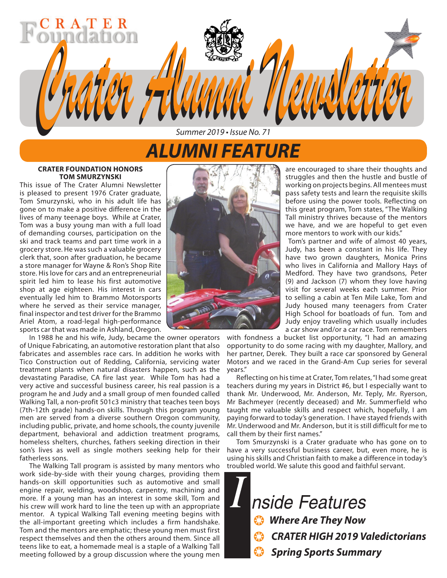# *ALUMNI FEATURE*

*Summer 2019 • Issue No. 71*

*Crater Alumni Newsletter Crater Alumni Newsletter*

#### **CRATER FOUNDATION HONORS TOM SMURZYNSKI**

R A T

This issue of The Crater Alumni Newsletter is pleased to present 1976 Crater graduate, Tom Smurzynski, who in his adult life has gone on to make a positive difference in the lives of many teenage boys. While at Crater, Tom was a busy young man with a full load of demanding courses, participation on the ski and track teams and part time work in a grocery store. He was such a valuable grocery clerk that, soon after graduation, he became a store manager for Wayne & Ron's Shop Rite store. His love for cars and an entrepreneurial spirit led him to lease his first automotive shop at age eighteen. His interest in cars eventually led him to Brammo Motorsports where he served as their service manager, final inspector and test driver for the Brammo Ariel Atom, a road-legal high-performance sports car that was made in Ashland, Oregon.

In 1988 he and his wife, Judy, became the owner operators of Unique Fabricating, an automotive restoration plant that also fabricates and assembles race cars. In addition he works with Tico Construction out of Redding, California, servicing water treatment plants when natural disasters happen, such as the devastating Paradise, CA fire last year. While Tom has had a very active and successful business career, his real passion is a program he and Judy and a small group of men founded called Walking Tall, a non-profit 501c3 ministry that teaches teen boys (7th-12th grade) hands-on skills. Through this program young men are served from a diverse southern Oregon community, including public, private, and home schools, the county juvenile department, behavioral and addiction treatment programs, homeless shelters, churches, fathers seeking direction in their son's lives as well as single mothers seeking help for their fatherless sons.

The Walking Tall program is assisted by many mentors who work side-by-side with their young charges, providing them hands-on skill opportunities such as automotive and small engine repair, welding, woodshop, carpentry, machining and more. If a young man has an interest in some skill, Tom and his crew will work hard to line the teen up with an appropriate mentor. A typical Walking Tall evening meeting begins with the all-important greeting which includes a firm handshake. Tom and the mentors are emphatic; these young men must first respect themselves and then the others around them. Since all teens like to eat, a homemade meal is a staple of a Walking Tall meeting followed by a group discussion where the young men



are encouraged to share their thoughts and struggles and then the hustle and bustle of working on projects begins. All mentees must pass safety tests and learn the requisite skills before using the power tools. Reflecting on this great program, Tom states, "The Walking Tall ministry thrives because of the mentors we have, and we are hopeful to get even more mentors to work with our kids."

Tom's partner and wife of almost 40 years, Judy, has been a constant in his life. They have two grown daughters, Monica Prins who lives in California and Mallory Hays of Medford. They have two grandsons, Peter (9) and Jackson (7) whom they love having visit for several weeks each summer. Prior to selling a cabin at Ten Mile Lake, Tom and Judy housed many teenagers from Crater High School for boatloads of fun. Tom and Judy enjoy traveling which usually includes a car show and/or a car race. Tom remembers

with fondness a bucket list opportunity, "I had an amazing opportunity to do some racing with my daughter, Mallory, and her partner, Derek. They built a race car sponsored by General Motors and we raced in the Grand-Am Cup series for several years."

Reflecting on his time at Crater, Tom relates, "I had some great teachers during my years in District #6, but I especially want to thank Mr. Underwood, Mr. Anderson, Mr. Teply, Mr. Ryerson, Mr Bachmeyer (recently deceased) and Mr. Summerfield who taught me valuable skills and respect which, hopefully, I am paying forward to today's generation. I have stayed friends with Mr. Underwood and Mr. Anderson, but it is still difficult for me to call them by their first names."

Tom Smurzynski is a Crater graduate who has gone on to have a very successful business career, but, even more, he is using his skills and Christian faith to make a difference in today's troubled world. We salute this good and faithful servant.

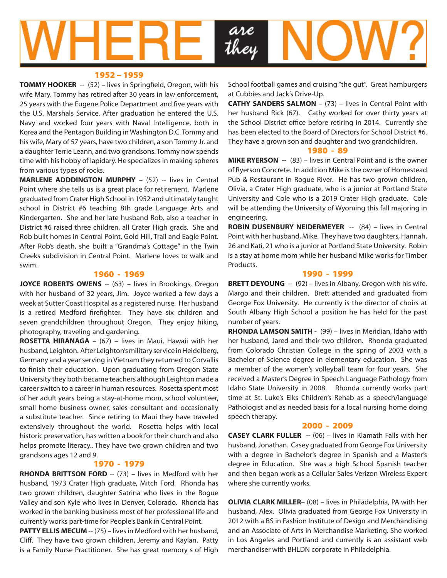

#### 1952 – 1959

**TOMMY HOOKER** -- (52) – lives in Springfield, Oregon, with his wife Mary. Tommy has retired after 30 years in law enforcement, 25 years with the Eugene Police Department and five years with the U.S. Marshals Service. After graduation he entered the U.S. Navy and worked four years with Naval Intelligence, both in Korea and the Pentagon Building in Washington D.C. Tommy and his wife, Mary of 57 years, have two children, a son Tommy Jr. and a daughter Terrie Leann, and two grandsons. Tommy now spends time with his hobby of lapidary. He specializes in making spheres from various types of rocks.

**MARLENE ADDDINGTON MURPHY** – (52) -- lives in Central Point where she tells us is a great place for retirement. Marlene graduated from Crater High School in 1952 and ultimately taught school in District #6 teaching 8th grade Language Arts and Kindergarten. She and her late husband Rob, also a teacher in District #6 raised three children, all Crater High grads. She and Rob built homes in Central Point, Gold Hill, Trail and Eagle Point. After Rob's death, she built a "Grandma's Cottage" in the Twin Creeks subdivision in Central Point. Marlene loves to walk and swim.

#### 1960 - 1969

**JOYCE ROBERTS OWENS** -- (63) - lives in Brookings, Oregon with her husband of 32 years, Jim. Joyce worked a few days a week at Sutter Coast Hospital as a registered nurse. Her husband is a retired Medford firefighter. They have six children and seven grandchildren throughout Oregon. They enjoy hiking, photography, traveling and gardening.

**ROSETTA HIRANAGA** – (67) – lives in Maui, Hawaii with her husband, Leighton. After Leighton's military service in Heidelberg, Germany and a year serving in Vietnam they returned to Corvallis to finish their education. Upon graduating from Oregon State University they both became teachers although Leighton made a career switch to a career in human resources. Rosetta spent most of her adult years being a stay-at-home mom, school volunteer, small home business owner, sales consultant and occasionally a substitute teacher. Since retiring to Maui they have traveled extensively throughout the world. Rosetta helps with local historic preservation, has written a book for their church and also helps promote literacy.. They have two grown children and two grandsons ages 12 and 9.

#### 1970 - 1979

**RHONDA BRITTSON FORD** -- (73) – lives in Medford with her husband, 1973 Crater High graduate, Mitch Ford. Rhonda has two grown children, daughter Satrina who lives in the Rogue Valley and son Kyle who lives in Denver, Colorado. Rhonda has worked in the banking business most of her professional life and currently works part-time for People's Bank in Central Point.

**PATTY ELLIS MECUM** -- (75) – lives in Medford with her husband, Cliff. They have two grown children, Jeremy and Kaylan. Patty is a Family Nurse Practitioner. She has great memory s of High School football games and cruising "the gut". Great hamburgers at Cubbies and Jack's Drive-Up.

**CATHY SANDERS SALMON** – (73) – lives in Central Point with her husband Rick (67). Cathy worked for over thirty years at the School District office before retiring in 2014. Currently she has been elected to the Board of Directors for School District #6. They have a grown son and daughter and two grandchildren.

#### 1980 - 89

**MIKE RYERSON** -- (83) – lives in Central Point and is the owner of Ryerson Concrete. In addition Mike is the owner of Homestead Pub & Restaurant in Rogue River. He has two grown children, Olivia, a Crater High graduate, who is a junior at Portland State University and Cole who is a 2019 Crater High graduate. Cole will be attending the University of Wyoming this fall majoring in engineering.

**ROBIN DUSENBURY NEIDERMEYER** -- (84) – lives in Central Point with her husband, Mike. They have two daughters, Hannah, 26 and Kati, 21 who is a junior at Portland State University. Robin is a stay at home mom while her husband Mike works for Timber Products.

#### 1990 - 1999

**BRETT DEYOUNG** -- (92) - lives in Albany, Oregon with his wife, Margo and their children. Brett attended and graduated from George Fox University. He currently is the director of choirs at South Albany High School a position he has held for the past number of years.

**RHONDA LAMSON SMITH** - (99) – lives in Meridian, Idaho with her husband, Jared and their two children. Rhonda graduated from Colorado Christian College in the spring of 2003 with a Bachelor of Science degree in elementary education. She was a member of the women's volleyball team for four years. She received a Master's Degree in Speech Language Pathology from Idaho State University in 2008. Rhonda currently works part time at St. Luke's Elks Children's Rehab as a speech/language Pathologist and as needed basis for a local nursing home doing speech therapy.

#### 2000 - 2009

**CASEY CLARK FULLER** -- (06) – lives in Klamath Falls with her husband, Jonathan. Casey graduated from George Fox University with a degree in Bachelor's degree in Spanish and a Master's degree in Education. She was a high School Spanish teacher and then began work as a Cellular Sales Verizon Wireless Expert where she currently works.

**OLIVIA CLARK MILLER**– (08) – lives in Philadelphia, PA with her husband, Alex. Olivia graduated from George Fox University in 2012 with a BS in Fashion Institute of Design and Merchandising and an Associate of Arts in Merchandise Marketing. She worked in Los Angeles and Portland and currently is an assistant web merchandiser with BHLDN corporate in Philadelphia.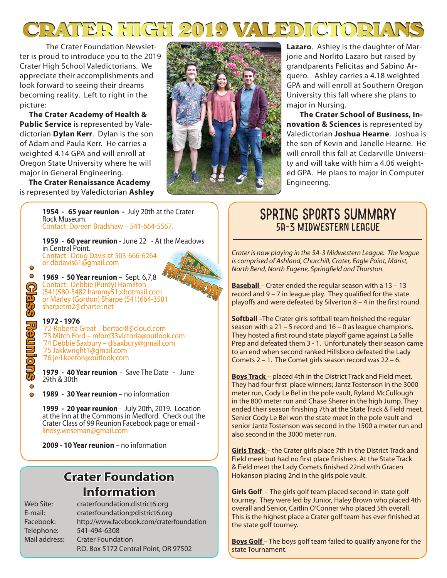# **CRATER HIGH 2019 VALEDICTORIANS CRATER HIGH 2019 VALEDICTORIANS**

The Crater Foundation Newsletter is proud to introduce you to the 2019 Crater High School Valedictorians. We appreciate their accomplishments and look forward to seeing their dreams becoming reality. Left to right in the picture:

 **The Crater Academy of Health & Public Service** is represented by Valedictorian **Dylan Kerr**. Dylan is the son of Adam and Paula Kerr. He carries a weighted 4.14 GPA and will enroll at Oregon State University where he will major in General Engineering.

 **The Crater Renaissance Academy** is represented by Valedictorian **Ashley** 



**Lazaro**. Ashley is the daughter of Marjorie and Norlito Lazaro but raised by grandparents Felicitas and Sabino Arquero. Ashley carries a 4.18 weighted GPA and will enroll at Southern Oregon University this fall where she plans to major in Nursing.

 **The Crater School of Business, Innovation & Sciences** is represented by Valedictorian **Joshua Hearne**. Joshua is the son of Kevin and Janelle Hearne. He will enroll this fall at Cedarville University and will take with him a 4.06 weighted GPA. He plans to major in Computer Engineering.

### **1954 - 65 year reunion -** July 20th at the Crater Rock Museum. Contact: Doreen Bradshaw – 541-664-5567.

**1959 - 60 year reunion -** June 22 - At the Meadows in Central Point. Contact: Doug Davis at 503-666-6264 or dbdavis61@gmail.com

**1969 - 50 Year reunion –** Sept. 6,7,8 Contact: Debbie (Purdy) Hamilton (541)580-5482 hammy51@hotmail.com or Marley (Gordon) Sharpe (541)664-3581 sharpetm2@charter.net

#### **1972 - 1976**

**• • Class Reunions • •**

**Reundrang** 

 $\overline{O}$  $\bullet$ 

 $\bullet$  $\bullet$ 

> '72-Roberta Great – bertacr8@cloud.com '73 Mitch Ford – mford33victoria@outlook.com '74 Debbie Saxbury – dlsaxbury@gmail.com '75 Jakkwright1@gmail.com '76 jeri.keeton@outlook,com

**1979 - 40 Year reunion** - Save The Date - June 29th & 30th

**1989 - 30 Year reunion** – no information

**1999 - 20 year reunion** - July 20th, 2019. Location at the Inn at the Commons in Medford. Check out the Crater Class of 99 Reunion Facebook page or email lindsy.weseman@gmail.com

**2009 - 10 Year reunion** – no information

## **Crater Foundation Information**

Web Site: craterfoundation.district6.org E-mail: craterfoundation@district6.org Facebook: http://www.facebook.com/craterfoundation Telephone: 541-494-6308 Mail address: Crater Foundation P.O. Box 5172 Central Point, OR 97502

## Spring Sports Summary 5A-3 Midwestern League

*Crater is now playing in the 5A-3 Midwestern League. The league is comprised of Ashland, Churchill, Crater, Eagle Point, Marist, North Bend, North Eugene, Springfield and Thurston.*

**Baseball** – Crater ended the regular season with a 13 – 13 record and 9 – 7 in league play. They qualified for the state playoffs and were defeated by Silverton 8 – 4 in the first round.

**Softball** –The Crater girls softball team finished the regular season with a 21 – 5 record and 16 – 0 as league champions. They hosted a first round state playoff game against La Salle Prep and defeated them 3 - 1. Unfortunately their season came to an end when second ranked Hillsboro defeated the Lady Comets 2 – 1. The Comet girls season record was 22 – 6.

**Boys Track** – placed 4th in the District Track and Field meet. They had four first place winners; Jantz Tostenson in the 3000 meter run, Cody Le Bel in the pole vault, Ryland McCullough in the 800 meter run and Chase Sherer in the high Jump. They ended their season finishing 7th at the State Track & Field meet. Senior Cody Le Bel won the state meet in the pole vault and senior Jantz Tostenson was second in the 1500 a meter run and also second in the 3000 meter run.

**Girls Track** – the Crater girls place 7th in the District Track and Field meet but had no first place finishers. At the State Track & Field meet the Lady Comets finished 22nd with Gracen Hokanson placing 2nd in the girls pole vault.

**Girls Golf** - The girls golf team placed second in state golf tourney. They were led by Junior, Haley Brown who placed 4th overall and Senior, Caitlin O'Conner who placed 5th overall. This is the highest place a Crater golf team has ever finished at the state golf tourney.

**Boys Golf** – The boys golf team failed to qualify anyone for the state Tournament.